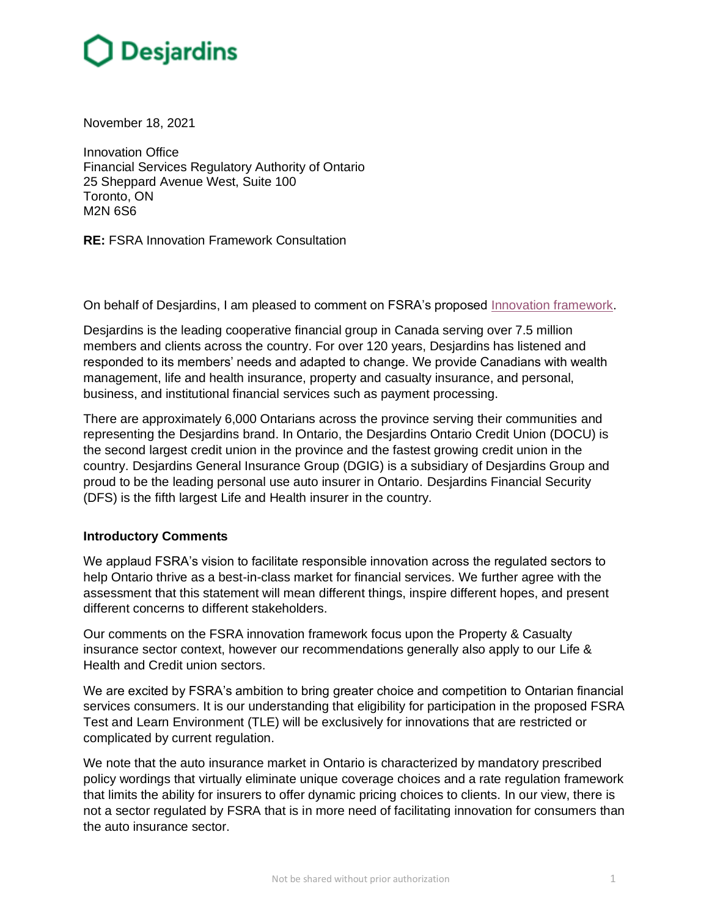November 18, 2021

Innovation Office Financial Services Regulatory Authority of Ontario 25 Sheppard Avenue West, Suite 100 Toronto, ON M2N 6S6

**RE:** FSRA Innovation Framework Consultation

On behalf of Desjardins, I am pleased to comment on FSRA's proposed [Innovation framework.](https://www.fsrao.ca/media/4621/download)

Desjardins is the leading cooperative financial group in Canada serving over 7.5 million members and clients across the country. For over 120 years, Desjardins has listened and responded to its members' needs and adapted to change. We provide Canadians with wealth management, life and health insurance, property and casualty insurance, and personal, business, and institutional financial services such as payment processing.

There are approximately 6,000 Ontarians across the province serving their communities and representing the Desjardins brand. In Ontario, the Desjardins Ontario Credit Union (DOCU) is the second largest credit union in the province and the fastest growing credit union in the country. Desjardins General Insurance Group (DGIG) is a subsidiary of Desjardins Group and proud to be the leading personal use auto insurer in Ontario. Desjardins Financial Security (DFS) is the fifth largest Life and Health insurer in the country.

## **Introductory Comments**

We applaud FSRA's vision to facilitate responsible innovation across the regulated sectors to help Ontario thrive as a best-in-class market for financial services. We further agree with the assessment that this statement will mean different things, inspire different hopes, and present different concerns to different stakeholders.

Our comments on the FSRA innovation framework focus upon the Property & Casualty insurance sector context, however our recommendations generally also apply to our Life & Health and Credit union sectors.

We are excited by FSRA's ambition to bring greater choice and competition to Ontarian financial services consumers. It is our understanding that eligibility for participation in the proposed FSRA Test and Learn Environment (TLE) will be exclusively for innovations that are restricted or complicated by current regulation.

We note that the auto insurance market in Ontario is characterized by mandatory prescribed policy wordings that virtually eliminate unique coverage choices and a rate regulation framework that limits the ability for insurers to offer dynamic pricing choices to clients. In our view, there is not a sector regulated by FSRA that is in more need of facilitating innovation for consumers than the auto insurance sector.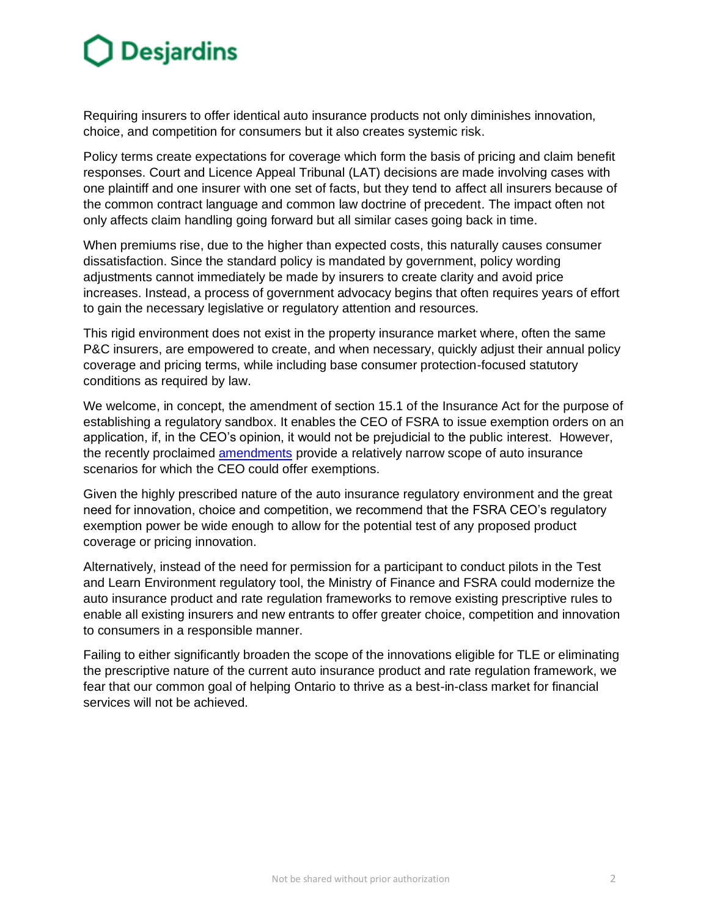Requiring insurers to offer identical auto insurance products not only diminishes innovation, choice, and competition for consumers but it also creates systemic risk.

Policy terms create expectations for coverage which form the basis of pricing and claim benefit responses. Court and Licence Appeal Tribunal (LAT) decisions are made involving cases with one plaintiff and one insurer with one set of facts, but they tend to affect all insurers because of the common contract language and common law doctrine of precedent. The impact often not only affects claim handling going forward but all similar cases going back in time.

When premiums rise, due to the higher than expected costs, this naturally causes consumer dissatisfaction. Since the standard policy is mandated by government, policy wording adjustments cannot immediately be made by insurers to create clarity and avoid price increases. Instead, a process of government advocacy begins that often requires years of effort to gain the necessary legislative or regulatory attention and resources.

This rigid environment does not exist in the property insurance market where, often the same P&C insurers, are empowered to create, and when necessary, quickly adjust their annual policy coverage and pricing terms, while including base consumer protection-focused statutory conditions as required by law.

We welcome, in concept, the amendment of section 15.1 of the Insurance Act for the purpose of establishing a regulatory sandbox. It enables the CEO of FSRA to issue exemption orders on an application, if, in the CEO's opinion, it would not be prejudicial to the public interest. However, the recently proclaimed [amendments](https://www.ontario.ca/laws/regulation/210704) provide a relatively narrow scope of auto insurance scenarios for which the CEO could offer exemptions.

Given the highly prescribed nature of the auto insurance regulatory environment and the great need for innovation, choice and competition, we recommend that the FSRA CEO's regulatory exemption power be wide enough to allow for the potential test of any proposed product coverage or pricing innovation.

Alternatively, instead of the need for permission for a participant to conduct pilots in the Test and Learn Environment regulatory tool, the Ministry of Finance and FSRA could modernize the auto insurance product and rate regulation frameworks to remove existing prescriptive rules to enable all existing insurers and new entrants to offer greater choice, competition and innovation to consumers in a responsible manner.

Failing to either significantly broaden the scope of the innovations eligible for TLE or eliminating the prescriptive nature of the current auto insurance product and rate regulation framework, we fear that our common goal of helping Ontario to thrive as a best-in-class market for financial services will not be achieved.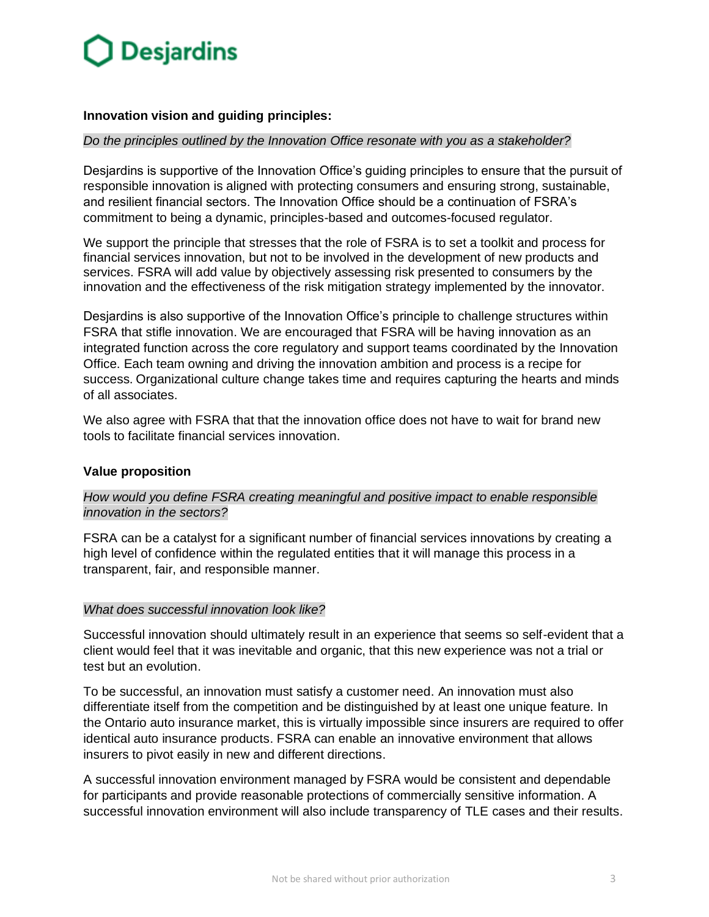## **Innovation vision and guiding principles:**

#### *Do the principles outlined by the Innovation Office resonate with you as a stakeholder?*

Desjardins is supportive of the Innovation Office's guiding principles to ensure that the pursuit of responsible innovation is aligned with protecting consumers and ensuring strong, sustainable, and resilient financial sectors. The Innovation Office should be a continuation of FSRA's commitment to being a dynamic, principles-based and outcomes-focused regulator.

We support the principle that stresses that the role of FSRA is to set a toolkit and process for financial services innovation, but not to be involved in the development of new products and services. FSRA will add value by objectively assessing risk presented to consumers by the innovation and the effectiveness of the risk mitigation strategy implemented by the innovator.

Desjardins is also supportive of the Innovation Office's principle to challenge structures within FSRA that stifle innovation. We are encouraged that FSRA will be having innovation as an integrated function across the core regulatory and support teams coordinated by the Innovation Office. Each team owning and driving the innovation ambition and process is a recipe for success. Organizational culture change takes time and requires capturing the hearts and minds of all associates.

We also agree with FSRA that that the innovation office does not have to wait for brand new tools to facilitate financial services innovation.

#### **Value proposition**

*How would you define FSRA creating meaningful and positive impact to enable responsible innovation in the sectors?*

FSRA can be a catalyst for a significant number of financial services innovations by creating a high level of confidence within the regulated entities that it will manage this process in a transparent, fair, and responsible manner.

#### *What does successful innovation look like?*

Successful innovation should ultimately result in an experience that seems so self-evident that a client would feel that it was inevitable and organic, that this new experience was not a trial or test but an evolution.

To be successful, an innovation must satisfy a customer need. An innovation must also differentiate itself from the competition and be distinguished by at least one unique feature. In the Ontario auto insurance market, this is virtually impossible since insurers are required to offer identical auto insurance products. FSRA can enable an innovative environment that allows insurers to pivot easily in new and different directions.

A successful innovation environment managed by FSRA would be consistent and dependable for participants and provide reasonable protections of commercially sensitive information. A successful innovation environment will also include transparency of TLE cases and their results.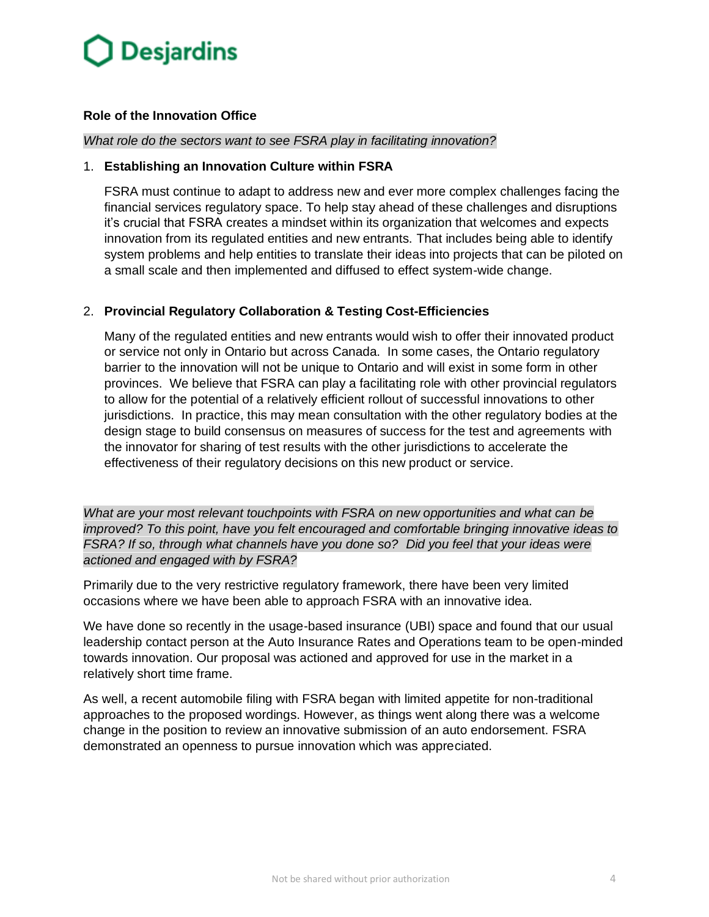## **Role of the Innovation Office**

#### *What role do the sectors want to see FSRA play in facilitating innovation?*

#### 1. **Establishing an Innovation Culture within FSRA**

FSRA must continue to adapt to address new and ever more complex challenges facing the financial services regulatory space. To help stay ahead of these challenges and disruptions it's crucial that FSRA creates a mindset within its organization that welcomes and expects innovation from its regulated entities and new entrants. That includes being able to identify system problems and help entities to translate their ideas into projects that can be piloted on a small scale and then implemented and diffused to effect system-wide change.

## 2. **Provincial Regulatory Collaboration & Testing Cost-Efficiencies**

Many of the regulated entities and new entrants would wish to offer their innovated product or service not only in Ontario but across Canada. In some cases, the Ontario regulatory barrier to the innovation will not be unique to Ontario and will exist in some form in other provinces. We believe that FSRA can play a facilitating role with other provincial regulators to allow for the potential of a relatively efficient rollout of successful innovations to other jurisdictions. In practice, this may mean consultation with the other regulatory bodies at the design stage to build consensus on measures of success for the test and agreements with the innovator for sharing of test results with the other jurisdictions to accelerate the effectiveness of their regulatory decisions on this new product or service.

*What are your most relevant touchpoints with FSRA on new opportunities and what can be improved? To this point, have you felt encouraged and comfortable bringing innovative ideas to FSRA? If so, through what channels have you done so? Did you feel that your ideas were actioned and engaged with by FSRA?*

Primarily due to the very restrictive regulatory framework, there have been very limited occasions where we have been able to approach FSRA with an innovative idea.

We have done so recently in the usage-based insurance (UBI) space and found that our usual leadership contact person at the Auto Insurance Rates and Operations team to be open-minded towards innovation. Our proposal was actioned and approved for use in the market in a relatively short time frame.

As well, a recent automobile filing with FSRA began with limited appetite for non-traditional approaches to the proposed wordings. However, as things went along there was a welcome change in the position to review an innovative submission of an auto endorsement. FSRA demonstrated an openness to pursue innovation which was appreciated.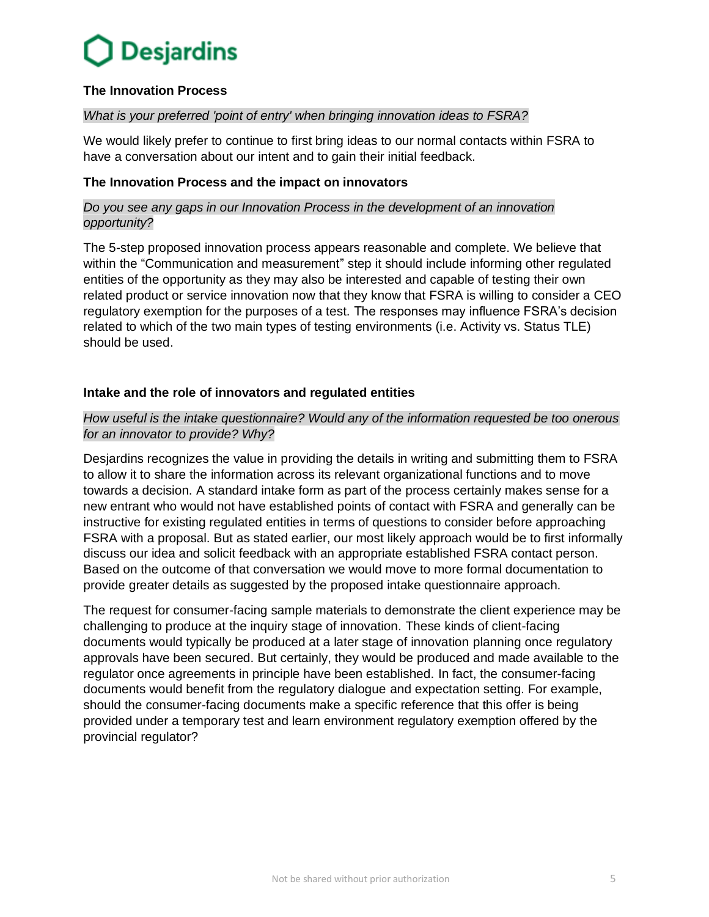## **The Innovation Process**

## *What is your preferred 'point of entry' when bringing innovation ideas to FSRA?*

We would likely prefer to continue to first bring ideas to our normal contacts within FSRA to have a conversation about our intent and to gain their initial feedback.

## **The Innovation Process and the impact on innovators**

## *Do you see any gaps in our Innovation Process in the development of an innovation opportunity?*

The 5-step proposed innovation process appears reasonable and complete. We believe that within the "Communication and measurement" step it should include informing other regulated entities of the opportunity as they may also be interested and capable of testing their own related product or service innovation now that they know that FSRA is willing to consider a CEO regulatory exemption for the purposes of a test. The responses may influence FSRA's decision related to which of the two main types of testing environments (i.e. Activity vs. Status TLE) should be used.

## **Intake and the role of innovators and regulated entities**

## *How useful is the intake questionnaire? Would any of the information requested be too onerous for an innovator to provide? Why?*

Desjardins recognizes the value in providing the details in writing and submitting them to FSRA to allow it to share the information across its relevant organizational functions and to move towards a decision. A standard intake form as part of the process certainly makes sense for a new entrant who would not have established points of contact with FSRA and generally can be instructive for existing regulated entities in terms of questions to consider before approaching FSRA with a proposal. But as stated earlier, our most likely approach would be to first informally discuss our idea and solicit feedback with an appropriate established FSRA contact person. Based on the outcome of that conversation we would move to more formal documentation to provide greater details as suggested by the proposed intake questionnaire approach.

The request for consumer-facing sample materials to demonstrate the client experience may be challenging to produce at the inquiry stage of innovation. These kinds of client-facing documents would typically be produced at a later stage of innovation planning once regulatory approvals have been secured. But certainly, they would be produced and made available to the regulator once agreements in principle have been established. In fact, the consumer-facing documents would benefit from the regulatory dialogue and expectation setting. For example, should the consumer-facing documents make a specific reference that this offer is being provided under a temporary test and learn environment regulatory exemption offered by the provincial regulator?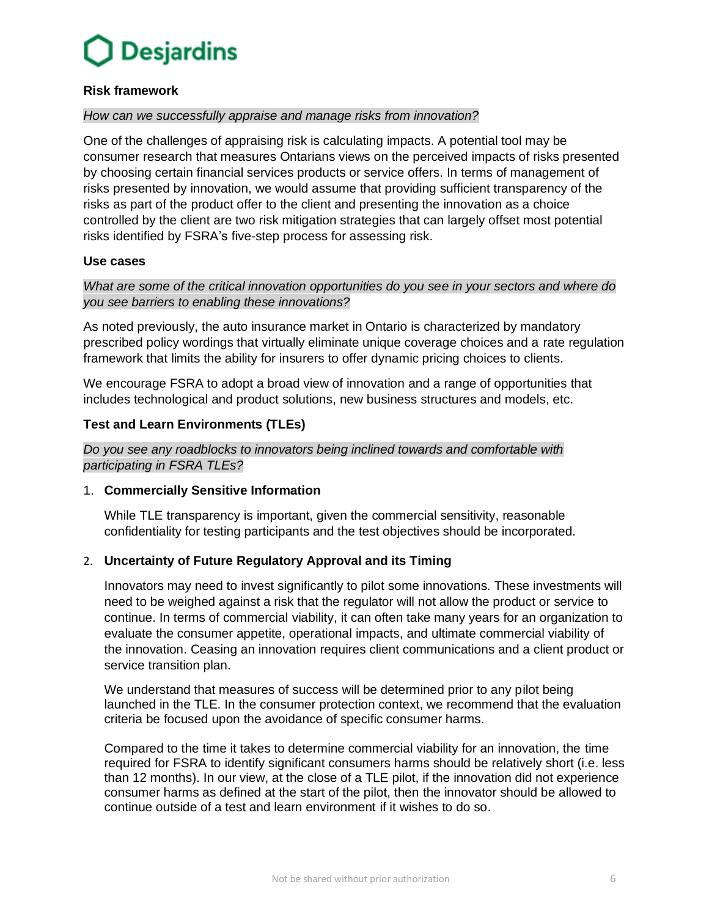

#### **Risk framework**

#### *How can we successfully appraise and manage risks from innovation?*

One of the challenges of appraising risk is calculating impacts. A potential tool may be consumer research that measures Ontarians views on the perceived impacts of risks presented by choosing certain financial services products or service offers. In terms of management of risks presented by innovation, we would assume that providing sufficient transparency of the risks as part of the product offer to the client and presenting the innovation as a choice controlled by the client are two risk mitigation strategies that can largely offset most potential risks identified by FSRA's five-step process for assessing risk.

### **Use cases**

## *What are some of the critical innovation opportunities do you see in your sectors and where do you see barriers to enabling these innovations?*

As noted previously, the auto insurance market in Ontario is characterized by mandatory prescribed policy wordings that virtually eliminate unique coverage choices and a rate regulation framework that limits the ability for insurers to offer dynamic pricing choices to clients.

We encourage FSRA to adopt a broad view of innovation and a range of opportunities that includes technological and product solutions, new business structures and models, etc.

### **Test and Learn Environments (TLEs)**

### *Do you see any roadblocks to innovators being inclined towards and comfortable with participating in FSRA TLEs?*

#### 1. **Commercially Sensitive Information**

While TLE transparency is important, given the commercial sensitivity, reasonable confidentiality for testing participants and the test objectives should be incorporated.

## 2. **Uncertainty of Future Regulatory Approval and its Timing**

Innovators may need to invest significantly to pilot some innovations. These investments will need to be weighed against a risk that the regulator will not allow the product or service to continue. In terms of commercial viability, it can often take many years for an organization to evaluate the consumer appetite, operational impacts, and ultimate commercial viability of the innovation. Ceasing an innovation requires client communications and a client product or service transition plan.

We understand that measures of success will be determined prior to any pilot being launched in the TLE. In the consumer protection context, we recommend that the evaluation criteria be focused upon the avoidance of specific consumer harms.

Compared to the time it takes to determine commercial viability for an innovation, the time required for FSRA to identify significant consumers harms should be relatively short (i.e. less than 12 months). In our view, at the close of a TLE pilot, if the innovation did not experience consumer harms as defined at the start of the pilot, then the innovator should be allowed to continue outside of a test and learn environment if it wishes to do so.